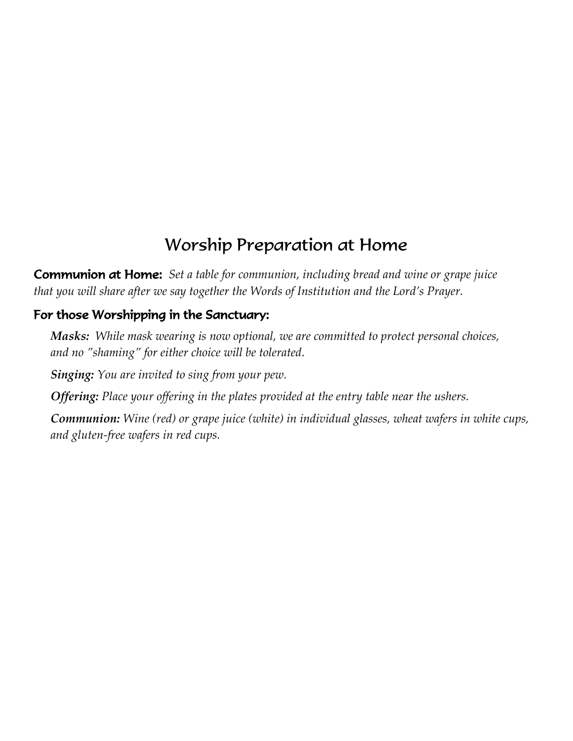# Worship Preparation at Home

Communion at Home: *Set a table for communion, including bread and wine or grape juice that you will share after we say together the Words of Institution and the Lord's Prayer.*

#### For those Worshipping in the Sanctuary:

*Masks: While mask wearing is now optional, we are committed to protect personal choices, and no "shaming" for either choice will be tolerated.*

*Singing: You are invited to sing from your pew.*

*Offering: Place your offering in the plates provided at the entry table near the ushers.*

*Communion: Wine (red) or grape juice (white) in individual glasses, wheat wafers in white cups, and gluten-free wafers in red cups.*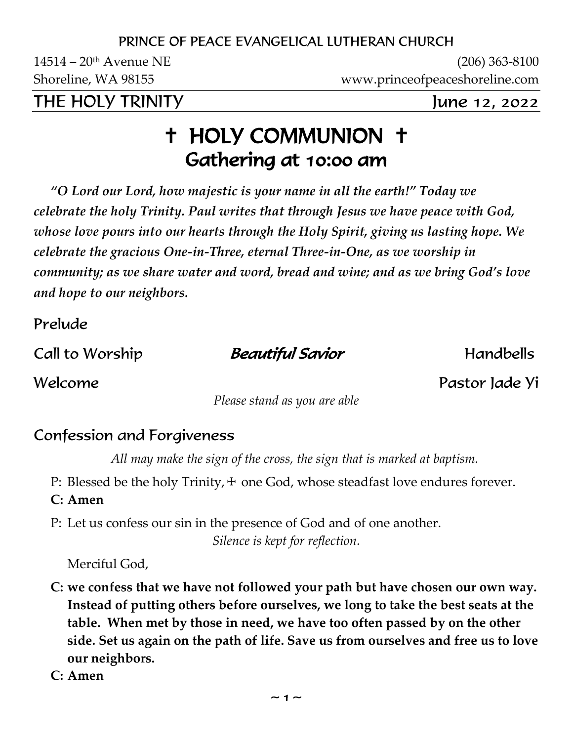#### PRINCE OF PEACE EVANGELICAL LUTHERAN CHURCH

14514 – 20th Avenue NE (206) 363-8100 Shoreline, WA 98155 www.princeofpeaceshoreline.com

THE HOLY TRINITY June 12, 2022

# **+ HOLY COMMUNION +** Gathering at 10:00 am

*"O Lord our Lord, how majestic is your name in all the earth!" Today we celebrate the holy Trinity. Paul writes that through Jesus we have peace with God, whose love pours into our hearts through the Holy Spirit, giving us lasting hope. We celebrate the gracious One-in-Three, eternal Three-in-One, as we worship in community; as we share water and word, bread and wine; and as we bring God's love and hope to our neighbors.*

Prelude

Call to Worship **Beautiful Savior** Handbells

Welcome Pastor Jade Yi

*Please stand as you are able*

#### Confession and Forgiveness

*All may make the sign of the cross, the sign that is marked at baptism.*

P: Blessed be the holy Trinity,  $+$  one God, whose steadfast love endures forever.

**C: Amen**

P: Let us confess our sin in the presence of God and of one another. *Silence is kept for reflection.*

Merciful God,

- **C: we confess that we have not followed your path but have chosen our own way. Instead of putting others before ourselves, we long to take the best seats at the table. When met by those in need, we have too often passed by on the other side. Set us again on the path of life. Save us from ourselves and free us to love our neighbors.**
- **C: Amen**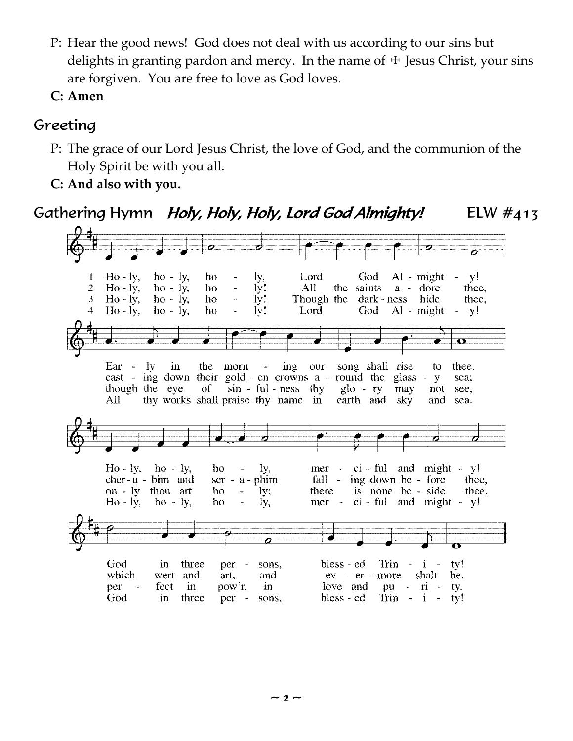- P: Hear the good news! God does not deal with us according to our sins but delights in granting pardon and mercy. In the name of  $\pm$  Jesus Christ, your sins are forgiven. You are free to love as God loves.
- **C: Amen**

#### Greeting

- P: The grace of our Lord Jesus Christ, the love of God, and the communion of the Holy Spirit be with you all.
- **C: And also with you.**

#### Gathering Hymn *Holy, Holy, Holy, Lord God Almighty!* ELW #413

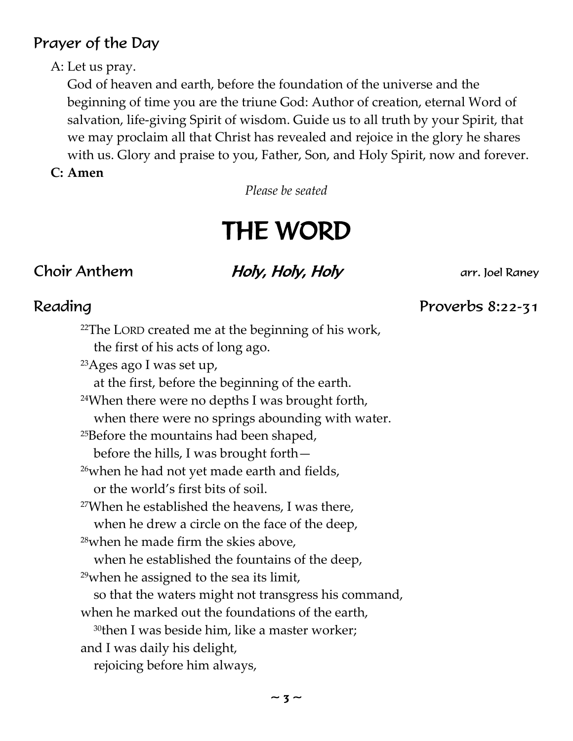#### Prayer of the Day

#### A: Let us pray.

God of heaven and earth, before the foundation of the universe and the beginning of time you are the triune God: Author of creation, eternal Word of salvation, life-giving Spirit of wisdom. Guide us to all truth by your Spirit, that we may proclaim all that Christ has revealed and rejoice in the glory he shares with us. Glory and praise to you, Father, Son, and Holy Spirit, now and forever.

#### **C: Amen**

*Please be seated*

# THE WORD

### Choir Anthem **Holy, Holy, Holy** arr. Joel Raney

#### Reading Proverbs 8:22-31

<sup>22</sup>The LORD created me at the beginning of his work, the first of his acts of long ago. <sup>23</sup>Ages ago I was set up, at the first, before the beginning of the earth. <sup>24</sup>When there were no depths I was brought forth, when there were no springs abounding with water. <sup>25</sup>Before the mountains had been shaped, before the hills, I was brought forth— <sup>26</sup>when he had not yet made earth and fields, or the world's first bits of soil. <sup>27</sup>When he established the heavens, I was there, when he drew a circle on the face of the deep, <sup>28</sup>when he made firm the skies above, when he established the fountains of the deep, <sup>29</sup>when he assigned to the sea its limit, so that the waters might not transgress his command, when he marked out the foundations of the earth, <sup>30</sup>then I was beside him, like a master worker; and I was daily his delight, rejoicing before him always,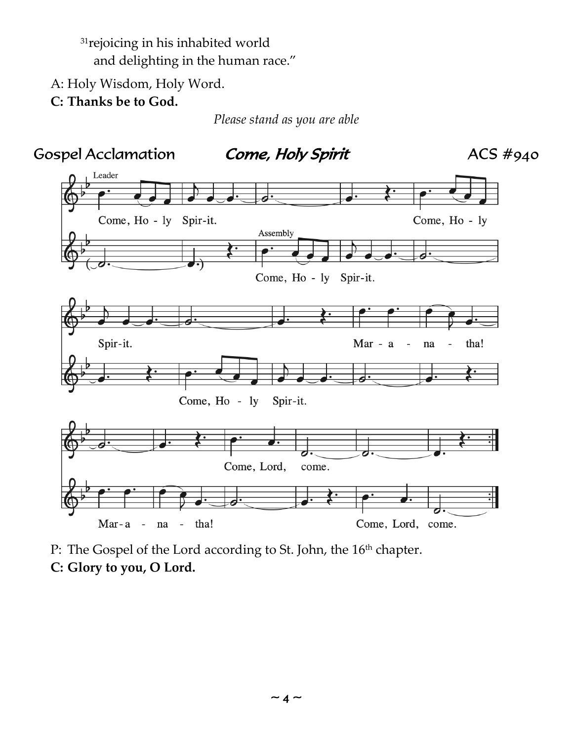<sup>31</sup>rejoicing in his inhabited world and delighting in the human race."

A: Holy Wisdom, Holy Word.

**C: Thanks be to God.**

*Please stand as you are able*



P: The Gospel of the Lord according to St. John, the 16<sup>th</sup> chapter. **C: Glory to you, O Lord.**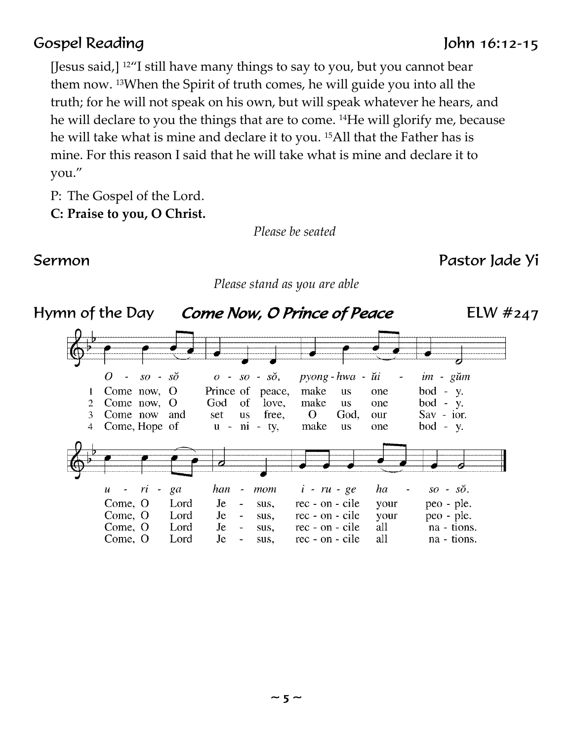#### Gospel Reading John 16:12-15

[Jesus said,] <sup>12</sup>"I still have many things to say to you, but you cannot bear them now. 13When the Spirit of truth comes, he will guide you into all the truth; for he will not speak on his own, but will speak whatever he hears, and he will declare to you the things that are to come. 14He will glorify me, because he will take what is mine and declare it to you. 15All that the Father has is mine. For this reason I said that he will take what is mine and declare it to you."

P: The Gospel of the Lord.

**C: Praise to you, O Christ.**

*Please be seated*

#### Sermon Pastor Jade Yi

*Please stand as you are able*

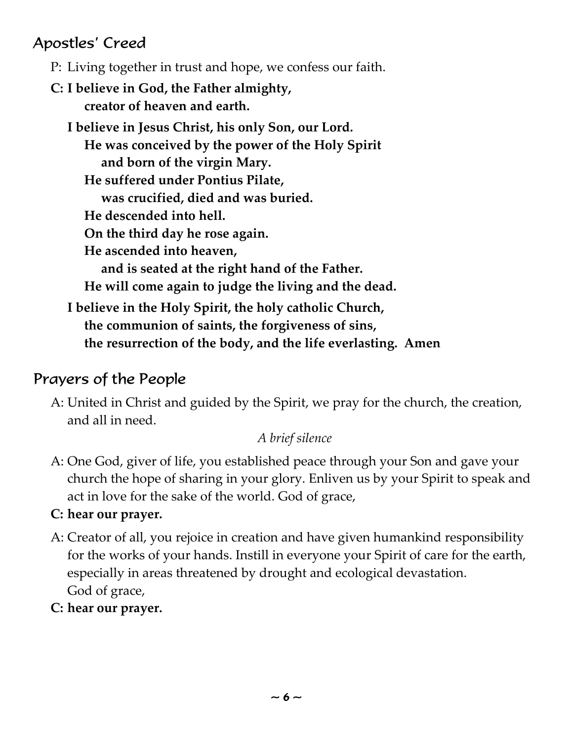### Apostles' Creed

- P: Living together in trust and hope, we confess our faith.
- **C: I believe in God, the Father almighty, creator of heaven and earth.**
	- **I believe in Jesus Christ, his only Son, our Lord. He was conceived by the power of the Holy Spirit and born of the virgin Mary. He suffered under Pontius Pilate, was crucified, died and was buried. He descended into hell. On the third day he rose again. He ascended into heaven, and is seated at the right hand of the Father. He will come again to judge the living and the dead. I believe in the Holy Spirit, the holy catholic Church, the communion of saints, the forgiveness of sins, the resurrection of the body, and the life everlasting. Amen**

#### Prayers of the People

A: United in Christ and guided by the Spirit, we pray for the church, the creation, and all in need.

#### *A brief silence*

- A: One God, giver of life, you established peace through your Son and gave your church the hope of sharing in your glory. Enliven us by your Spirit to speak and act in love for the sake of the world. God of grace,
- **C: hear our prayer.**
- A: Creator of all, you rejoice in creation and have given humankind responsibility for the works of your hands. Instill in everyone your Spirit of care for the earth, especially in areas threatened by drought and ecological devastation. God of grace,
- **C: hear our prayer.**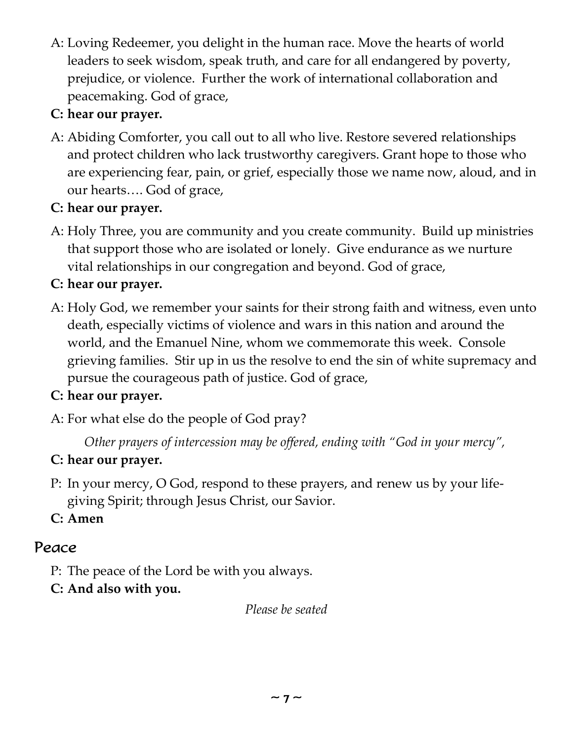A: Loving Redeemer, you delight in the human race. Move the hearts of world leaders to seek wisdom, speak truth, and care for all endangered by poverty, prejudice, or violence. Further the work of international collaboration and peacemaking. God of grace,

#### **C: hear our prayer.**

A: Abiding Comforter, you call out to all who live. Restore severed relationships and protect children who lack trustworthy caregivers. Grant hope to those who are experiencing fear, pain, or grief, especially those we name now, aloud, and in our hearts…. God of grace,

#### **C: hear our prayer.**

A: Holy Three, you are community and you create community. Build up ministries that support those who are isolated or lonely. Give endurance as we nurture vital relationships in our congregation and beyond. God of grace,

#### **C: hear our prayer.**

A: Holy God, we remember your saints for their strong faith and witness, even unto death, especially victims of violence and wars in this nation and around the world, and the Emanuel Nine, whom we commemorate this week. Console grieving families. Stir up in us the resolve to end the sin of white supremacy and pursue the courageous path of justice. God of grace,

#### **C: hear our prayer.**

A: For what else do the people of God pray?

*Other prayers of intercession may be offered, ending with "God in your mercy",*

#### **C: hear our prayer.**

P: In your mercy, O God, respond to these prayers, and renew us by your lifegiving Spirit; through Jesus Christ, our Savior.

**C: Amen**

#### Peace

P: The peace of the Lord be with you always.

#### **C: And also with you.**

*Please be seated*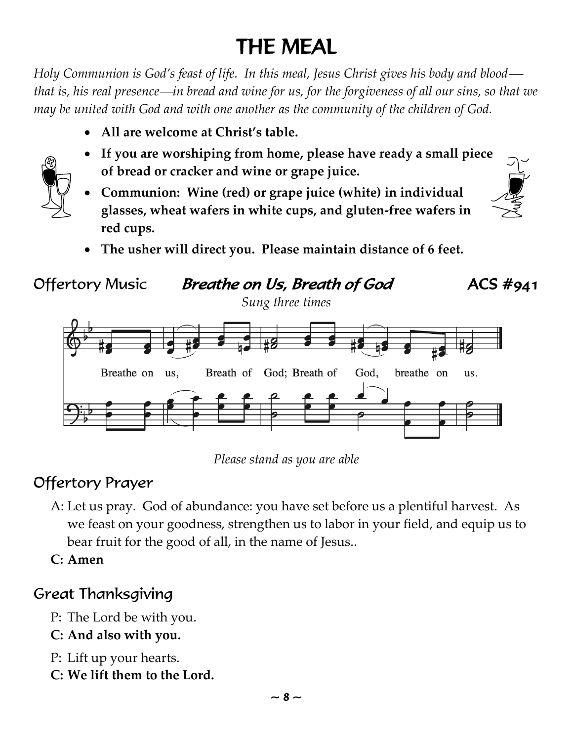# THE MEAL

*Holy Communion is God's feast of life. In this meal, Jesus Christ gives his body and blood that is, his real presence—in bread and wine for us, for the forgiveness of all our sins, so that we may be united with God and with one another as the community of the children of God.*

• **All are welcome at Christ's table.**



- **If you are worshiping from home, please have ready a small piece of bread or cracker and wine or grape juice.**
- **Communion: Wine (red) or grape juice (white) in individual glasses, wheat wafers in white cups, and gluten-free wafers in red cups.**
	- **The usher will direct you. Please maintain distance of 6 feet.**



*Please stand as you are able*

# Offertory Prayer

A: Let us pray. God of abundance: you have set before us a plentiful harvest. As we feast on your goodness, strengthen us to labor in your field, and equip us to bear fruit for the good of all, in the name of Jesus..

**C: Amen**

# Great Thanksgiving

- P: The Lord be with you.
- **C: And also with you.**
- P: Lift up your hearts.
- **C: We lift them to the Lord.**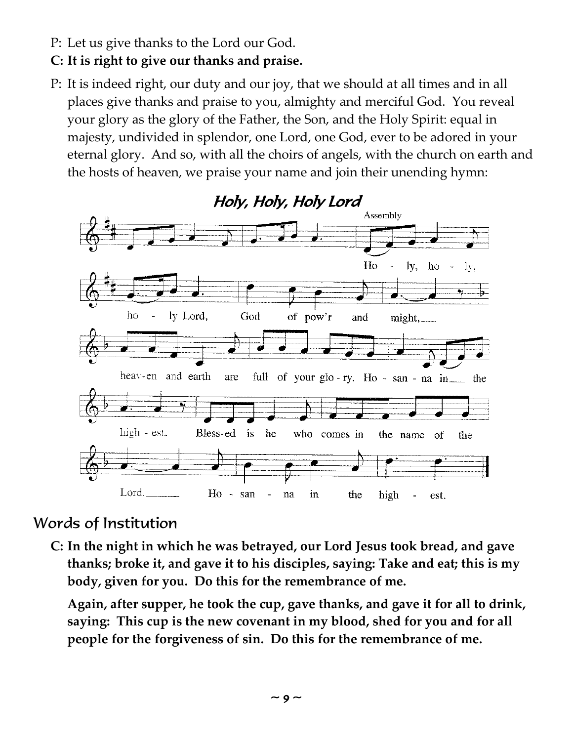- P: Let us give thanks to the Lord our God.
- **C: It is right to give our thanks and praise.**
- P: It is indeed right, our duty and our joy, that we should at all times and in all places give thanks and praise to you, almighty and merciful God. You reveal your glory as the glory of the Father, the Son, and the Holy Spirit: equal in majesty, undivided in splendor, one Lord, one God, ever to be adored in your eternal glory. And so, with all the choirs of angels, with the church on earth and the hosts of heaven, we praise your name and join their unending hymn:



#### Words of Institution

**C: In the night in which he was betrayed, our Lord Jesus took bread, and gave thanks; broke it, and gave it to his disciples, saying: Take and eat; this is my body, given for you. Do this for the remembrance of me.** 

**Again, after supper, he took the cup, gave thanks, and gave it for all to drink, saying: This cup is the new covenant in my blood, shed for you and for all people for the forgiveness of sin. Do this for the remembrance of me.**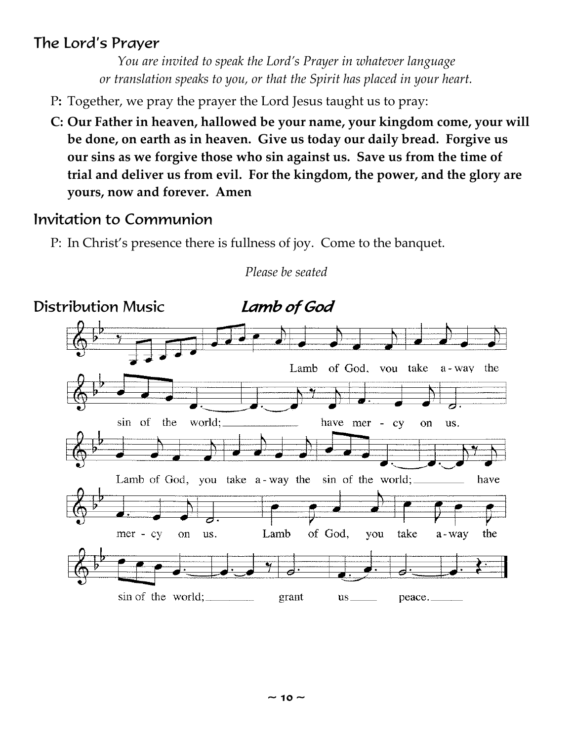#### The Lord's Prayer

*You are invited to speak the Lord's Prayer in whatever language or translation speaks to you, or that the Spirit has placed in your heart.*

- P**:** Together, we pray the prayer the Lord Jesus taught us to pray:
- **C: Our Father in heaven, hallowed be your name, your kingdom come, your will be done, on earth as in heaven. Give us today our daily bread. Forgive us our sins as we forgive those who sin against us. Save us from the time of trial and deliver us from evil. For the kingdom, the power, and the glory are yours, now and forever. Amen**

#### Invitation to Communion

P: In Christ's presence there is fullness of joy. Come to the banquet.



*Please be seated*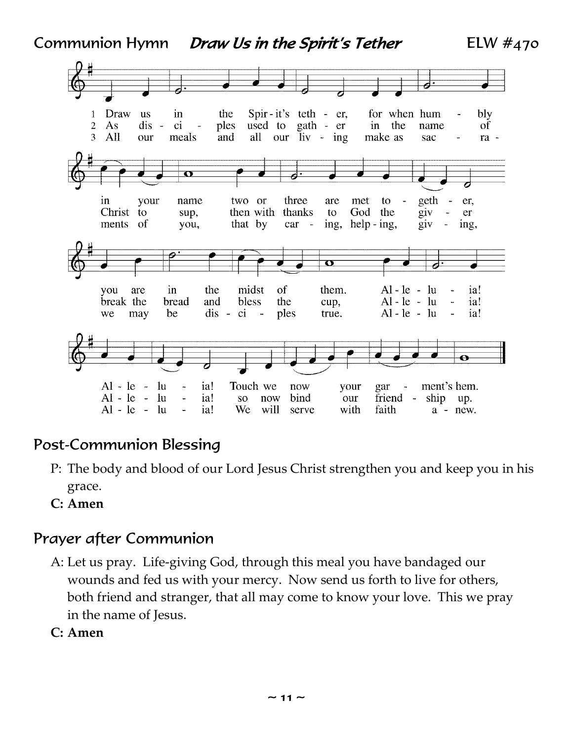Communion Hymn Draw Us in the Spirit's Tether ELW  $\#_{470}$ 



#### Post-Communion Blessing

- P: The body and blood of our Lord Jesus Christ strengthen you and keep you in his grace.
- **C: Amen**

#### Prayer after Communion

- A: Let us pray. Life-giving God, through this meal you have bandaged our wounds and fed us with your mercy. Now send us forth to live for others, both friend and stranger, that all may come to know your love. This we pray in the name of Jesus.
- **C: Amen**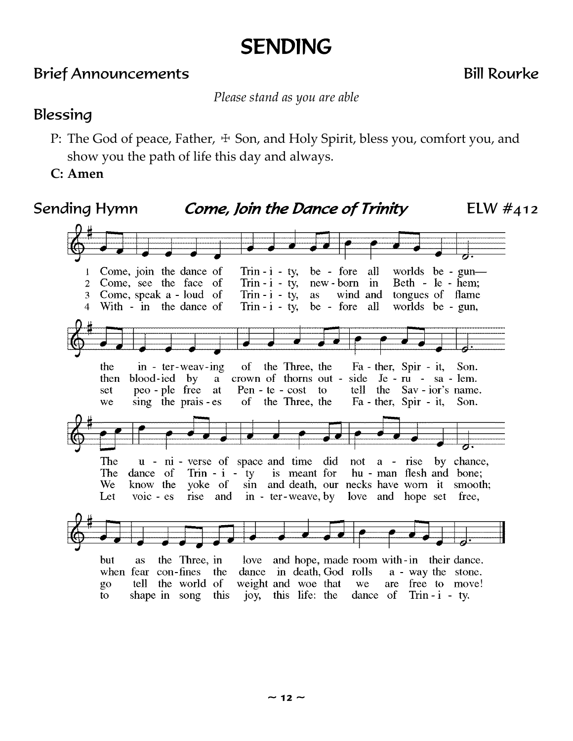# SENDING

#### Brief Announcements Bill Rourke

*Please stand as you are able*

#### Blessing

- P: The God of peace, Father,  $\pm$  Son, and Holy Spirit, bless you, comfort you, and show you the path of life this day and always.
- **C: Amen**

#### Sending Hymn Come, Join the Dance of Trinity ELW  $\#$ 412

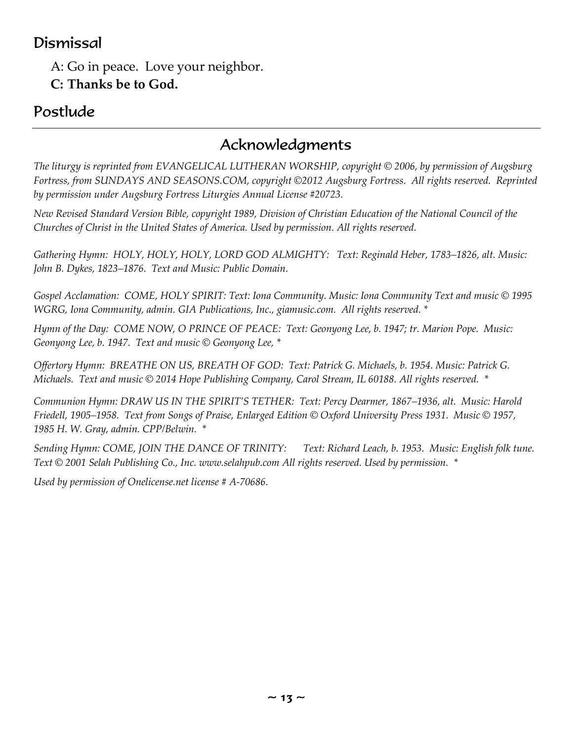#### Dismissal

A: Go in peace. Love your neighbor. **C: Thanks be to God.**

#### Postlude

#### Acknowledgments

*The liturgy is reprinted from EVANGELICAL LUTHERAN WORSHIP, copyright © 2006, by permission of Augsburg Fortress, from SUNDAYS AND SEASONS.COM, copyright ©2012 Augsburg Fortress. All rights reserved. Reprinted by permission under Augsburg Fortress Liturgies Annual License #20723.*

*New Revised Standard Version Bible, copyright 1989, Division of Christian Education of the National Council of the Churches of Christ in the United States of America. Used by permission. All rights reserved.* 

*Gathering Hymn: HOLY, HOLY, HOLY, LORD GOD ALMIGHTY: Text: Reginald Heber, 1783–1826, alt. Music: John B. Dykes, 1823–1876. Text and Music: Public Domain.*

*Gospel Acclamation: COME, HOLY SPIRIT: Text: Iona Community. Music: Iona Community Text and music © 1995 WGRG, Iona Community, admin. GIA Publications, Inc., giamusic.com. All rights reserved. \**

*Hymn of the Day: COME NOW, O PRINCE OF PEACE: Text: Geonyong Lee, b. 1947; tr. Marion Pope. Music: Geonyong Lee, b. 1947. Text and music © Geonyong Lee, \**

*Offertory Hymn: BREATHE ON US, BREATH OF GOD: Text: Patrick G. Michaels, b. 1954. Music: Patrick G. Michaels. Text and music © 2014 Hope Publishing Company, Carol Stream, IL 60188. All rights reserved. \**

*Communion Hymn: DRAW US IN THE SPIRIT'S TETHER: Text: Percy Dearmer, 1867–1936, alt. Music: Harold Friedell, 1905–1958. Text from Songs of Praise, Enlarged Edition © Oxford University Press 1931. Music © 1957, 1985 H. W. Gray, admin. CPP/Belwin. \**

*Sending Hymn: COME, JOIN THE DANCE OF TRINITY: Text: Richard Leach, b. 1953. Music: English folk tune. Text © 2001 Selah Publishing Co., Inc. www.selahpub.com All rights reserved. Used by permission. \**

*Used by permission of Onelicense.net license # A-70686.*